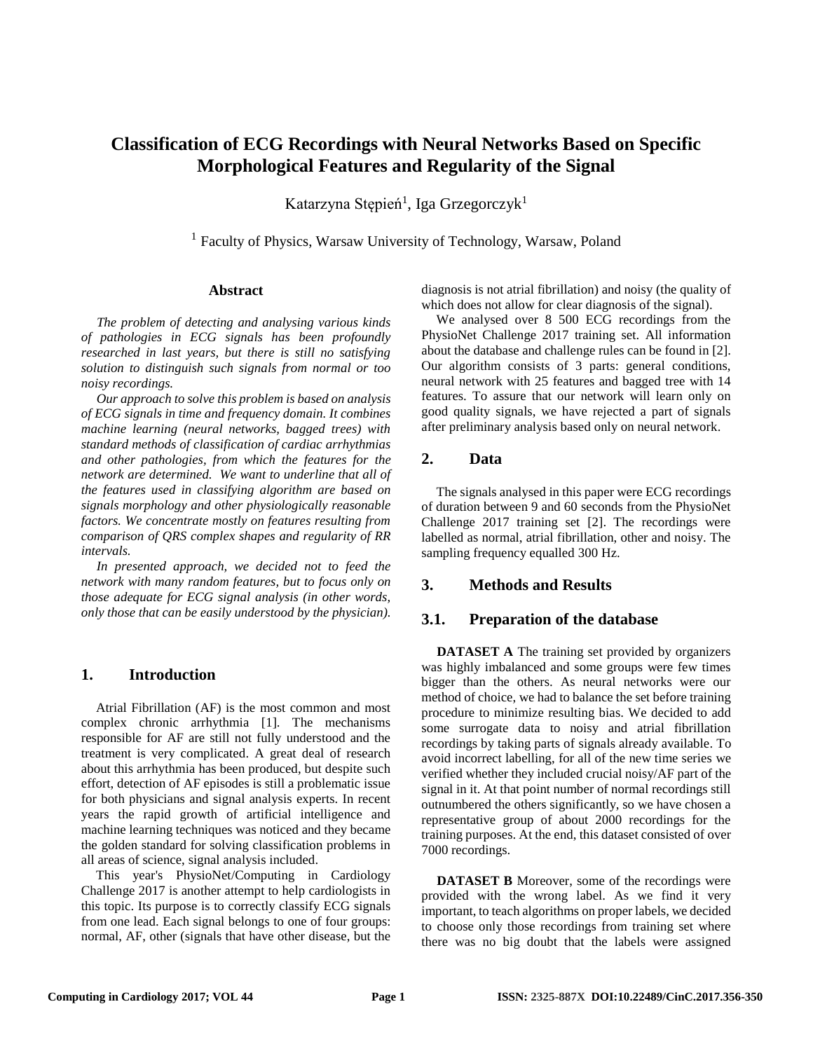# **Classification of ECG Recordings with Neural Networks Based on Specific Morphological Features and Regularity of the Signal**

Katarzyna Stępień<sup>1</sup>, Iga Grzegorczyk<sup>1</sup>

<sup>1</sup> Faculty of Physics, Warsaw University of Technology, Warsaw, Poland

#### **Abstract**

*The problem of detecting and analysing various kinds of pathologies in ECG signals has been profoundly researched in last years, but there is still no satisfying solution to distinguish such signals from normal or too noisy recordings.*

*Our approach to solve this problem is based on analysis of ECG signals in time and frequency domain. It combines machine learning (neural networks, bagged trees) with standard methods of classification of cardiac arrhythmias and other pathologies, from which the features for the network are determined. We want to underline that all of the features used in classifying algorithm are based on signals morphology and other physiologically reasonable factors. We concentrate mostly on features resulting from comparison of QRS complex shapes and regularity of RR intervals.*

*In presented approach, we decided not to feed the network with many random features, but to focus only on those adequate for ECG signal analysis (in other words, only those that can be easily understood by the physician).*

### **1. Introduction**

Atrial Fibrillation (AF) is the most common and most complex chronic arrhythmia [1]. The mechanisms responsible for AF are still not fully understood and the treatment is very complicated. A great deal of research about this arrhythmia has been produced, but despite such effort, detection of AF episodes is still a problematic issue for both physicians and signal analysis experts. In recent years the rapid growth of artificial intelligence and machine learning techniques was noticed and they became the golden standard for solving classification problems in all areas of science, signal analysis included.

This year's PhysioNet/Computing in Cardiology Challenge 2017 is another attempt to help cardiologists in this topic. Its purpose is to correctly classify ECG signals from one lead. Each signal belongs to one of four groups: normal, AF, other (signals that have other disease, but the diagnosis is not atrial fibrillation) and noisy (the quality of which does not allow for clear diagnosis of the signal).

We analysed over 8 500 ECG recordings from the PhysioNet Challenge 2017 training set. All information about the database and challenge rules can be found in [2]. Our algorithm consists of 3 parts: general conditions, neural network with 25 features and bagged tree with 14 features. To assure that our network will learn only on good quality signals, we have rejected a part of signals after preliminary analysis based only on neural network.

## **2. Data**

The signals analysed in this paper were ECG recordings of duration between 9 and 60 seconds from the PhysioNet Challenge 2017 training set [2]. The recordings were labelled as normal, atrial fibrillation, other and noisy. The sampling frequency equalled 300 Hz.

## **3. Methods and Results**

#### **3.1. Preparation of the database**

**DATASET A** The training set provided by organizers was highly imbalanced and some groups were few times bigger than the others. As neural networks were our method of choice, we had to balance the set before training procedure to minimize resulting bias. We decided to add some surrogate data to noisy and atrial fibrillation recordings by taking parts of signals already available. To avoid incorrect labelling, for all of the new time series we verified whether they included crucial noisy/AF part of the signal in it. At that point number of normal recordings still outnumbered the others significantly, so we have chosen a representative group of about 2000 recordings for the training purposes. At the end, this dataset consisted of over 7000 recordings.

**DATASET B** Moreover, some of the recordings were provided with the wrong label. As we find it very important, to teach algorithms on proper labels, we decided to choose only those recordings from training set where there was no big doubt that the labels were assigned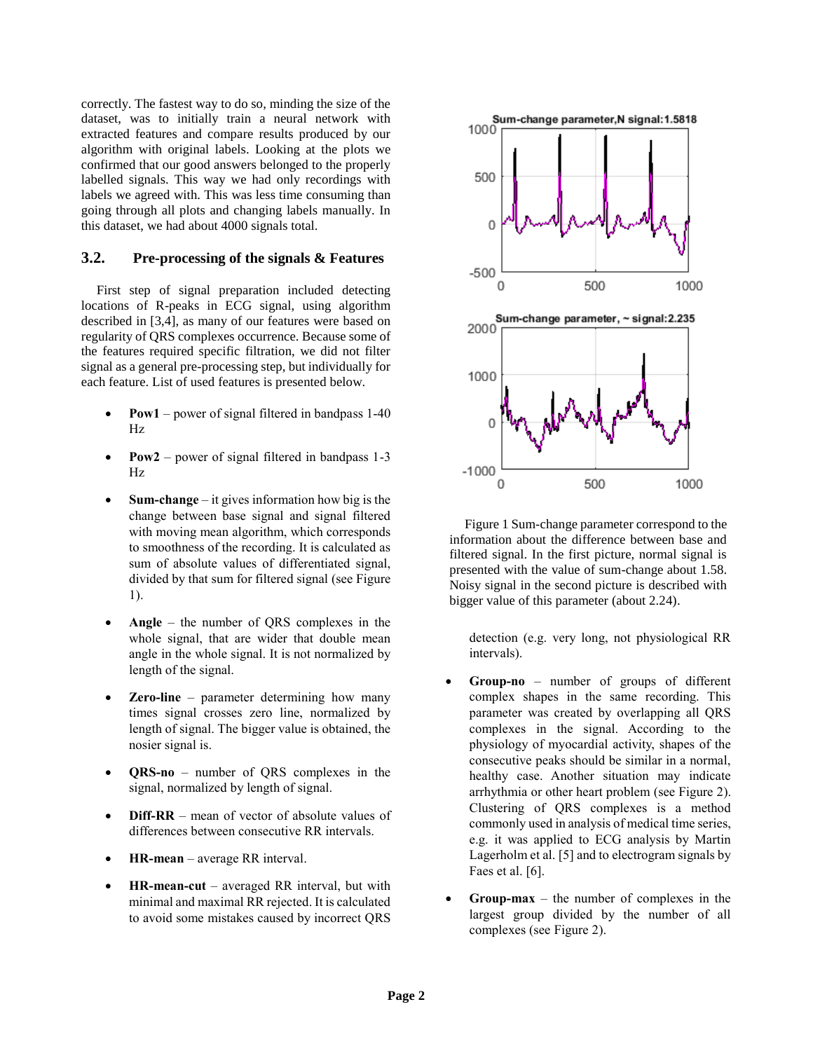correctly. The fastest way to do so, minding the size of the dataset, was to initially train a neural network with extracted features and compare results produced by our algorithm with original labels. Looking at the plots we confirmed that our good answers belonged to the properly labelled signals. This way we had only recordings with labels we agreed with. This was less time consuming than going through all plots and changing labels manually. In this dataset, we had about 4000 signals total.

## **3.2. Pre-processing of the signals & Features**

First step of signal preparation included detecting locations of R-peaks in ECG signal, using algorithm described in [3,4], as many of our features were based on regularity of QRS complexes occurrence. Because some of the features required specific filtration, we did not filter signal as a general pre-processing step, but individually for each feature. List of used features is presented below.

- **Pow1** power of signal filtered in bandpass 1-40 Hz
- **Pow2** power of signal filtered in bandpass 1-3 Hz
- **Sum-change** it gives information how big is the change between base signal and signal filtered with moving mean algorithm, which corresponds to smoothness of the recording. It is calculated as sum of absolute values of differentiated signal, divided by that sum for filtered signal (see Figure 1).
- **Angle** the number of QRS complexes in the whole signal, that are wider that double mean angle in the whole signal. It is not normalized by length of the signal.
- **Zero-line** parameter determining how many times signal crosses zero line, normalized by length of signal. The bigger value is obtained, the nosier signal is.
- **QRS-no** number of QRS complexes in the signal, normalized by length of signal.
- **Diff-RR** mean of vector of absolute values of differences between consecutive RR intervals.
- **HR-mean** average RR interval.
- **HR-mean-cut** averaged RR interval, but with minimal and maximal RR rejected. It is calculated to avoid some mistakes caused by incorrect QRS



Figure 1 Sum-change parameter correspond to the information about the difference between base and filtered signal. In the first picture, normal signal is presented with the value of sum-change about 1.58. Noisy signal in the second picture is described with bigger value of this parameter (about 2.24).

detection (e.g. very long, not physiological RR intervals).

- **Group-no** number of groups of different complex shapes in the same recording. This parameter was created by overlapping all QRS complexes in the signal. According to the physiology of myocardial activity, shapes of the consecutive peaks should be similar in a normal, healthy case. Another situation may indicate arrhythmia or other heart problem (see Figure 2). Clustering of QRS complexes is a method commonly used in analysis of medical time series, e.g. it was applied to ECG analysis by Martin Lagerholm et al. [5] and to electrogram signals by Faes et al. [6].
- **Group-max** the number of complexes in the largest group divided by the number of all complexes (see Figure 2).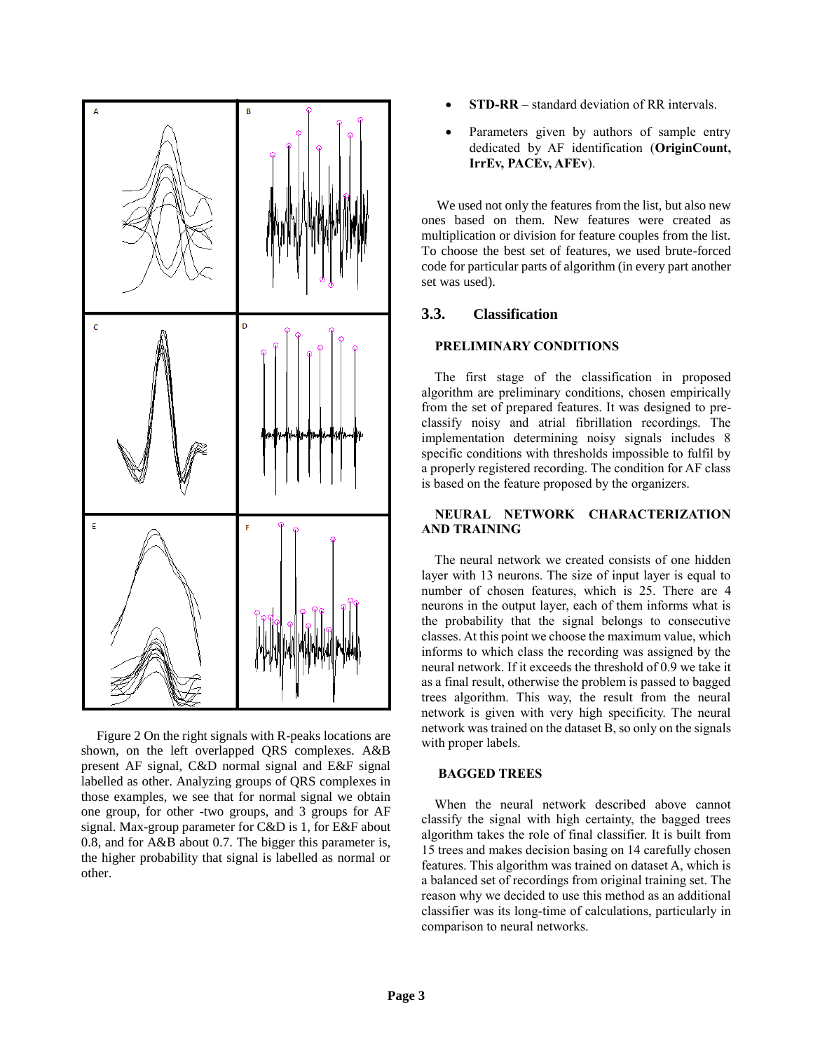

Figure 2 On the right signals with R-peaks locations are shown, on the left overlapped QRS complexes. A&B present AF signal, C&D normal signal and E&F signal labelled as other. Analyzing groups of QRS complexes in those examples, we see that for normal signal we obtain one group, for other -two groups, and 3 groups for AF signal. Max-group parameter for C&D is 1, for E&F about 0.8, and for A&B about 0.7. The bigger this parameter is, the higher probability that signal is labelled as normal or other.

- **STD-RR** standard deviation of RR intervals.
- Parameters given by authors of sample entry dedicated by AF identification (**OriginCount, IrrEv, PACEv, AFEv**).

We used not only the features from the list, but also new ones based on them. New features were created as multiplication or division for feature couples from the list. To choose the best set of features, we used brute-forced code for particular parts of algorithm (in every part another set was used).

#### **3.3. Classification**

#### **PRELIMINARY CONDITIONS**

 The first stage of the classification in proposed algorithm are preliminary conditions, chosen empirically from the set of prepared features. It was designed to preclassify noisy and atrial fibrillation recordings. The implementation determining noisy signals includes 8 specific conditions with thresholds impossible to fulfil by a properly registered recording. The condition for AF class is based on the feature proposed by the organizers.

#### **NEURAL NETWORK CHARACTERIZATION AND TRAINING**

 The neural network we created consists of one hidden layer with 13 neurons. The size of input layer is equal to number of chosen features, which is 25. There are 4 neurons in the output layer, each of them informs what is the probability that the signal belongs to consecutive classes. At this point we choose the maximum value, which informs to which class the recording was assigned by the neural network. If it exceeds the threshold of 0.9 we take it as a final result, otherwise the problem is passed to bagged trees algorithm. This way, the result from the neural network is given with very high specificity. The neural network was trained on the dataset B, so only on the signals with proper labels.

#### **BAGGED TREES**

 When the neural network described above cannot classify the signal with high certainty, the bagged trees algorithm takes the role of final classifier. It is built from 15 trees and makes decision basing on 14 carefully chosen features. This algorithm was trained on dataset A, which is a balanced set of recordings from original training set. The reason why we decided to use this method as an additional classifier was its long-time of calculations, particularly in comparison to neural networks.